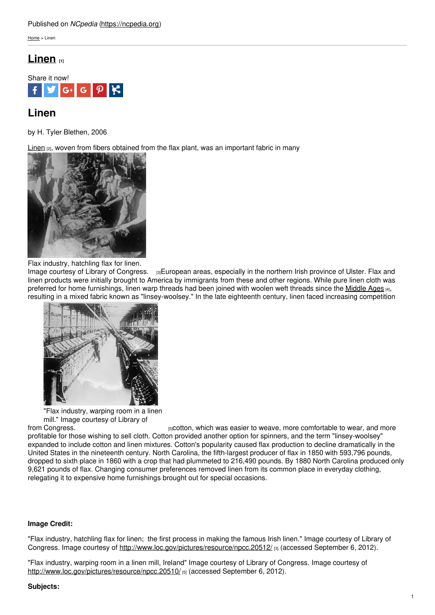### Published on *NCpedia* [\(https://ncpedia.org](https://ncpedia.org))

[Home](https://ncpedia.org/) > Linen

# **[Linen](https://ncpedia.org/linen) [1]**



# **Linen**

by H. Tyler Blethen, 2006

 $\lim_{n \to \infty}$  woven from fibers obtained from the flax plant, was an important fabric in many



### Flax industry, hatchling flax for linen.

Image courtesy of Library of [Congress.](http://www.loc.gov/pictures/resource/npcc.20512/) [3]European areas, especially in the northern Irish province of Ulster. Flax and linen products were initially brought to America by immigrants from these and other regions. While pure linen cloth was preferred for home furnishings, linen warp threads had been joined with woolen weft threads since the [Middle](http://www.britannica.com/EBchecked/topic/380873/Middle-Ages) Ages [4], resulting in a mixed fabric known as "linsey-woolsey." In the late eighteenth century, linen faced increasing competition



"Flax industry, warping room in a linen mill." Image courtesy of Library of

from Congress. [5] cotton, which was easier to weave, more comfortable to wear, and more profitable for those wishing to sell cloth. Cotton provided another option for spinners, and the term "linsey-woolsey" expanded to include cotton and linen mixtures. Cotton's popularity caused flax production to decline dramatically in the United States in the nineteenth century. North Carolina, the fifth-largest producer of flax in 1850 with 593,796 pounds, dropped to sixth place in 1860 with a crop that had plummeted to 216,490 pounds. By 1880 North Carolina produced only 9,621 pounds of flax. Changing consumer preferences removed linen from its common place in everyday clothing, relegating it to expensive home furnishings brought out for special occasions.

## **Image Credit:**

"Flax industry, hatchling flax for linen; the first process in making the famous Irish linen." Image courtesy of Library of Congress. Image courtesy of <http://www.loc.gov/pictures/resource/npcc.20512/> [3] (accessed September 6, 2012).

"Flax industry, warping room in a linen mill, Ireland" Image courtesy of Library of Congress. Image courtesy of <http://www.loc.gov/pictures/resource/npcc.20510/> [5] (accessed September 6, 2012).

## **Subjects:**